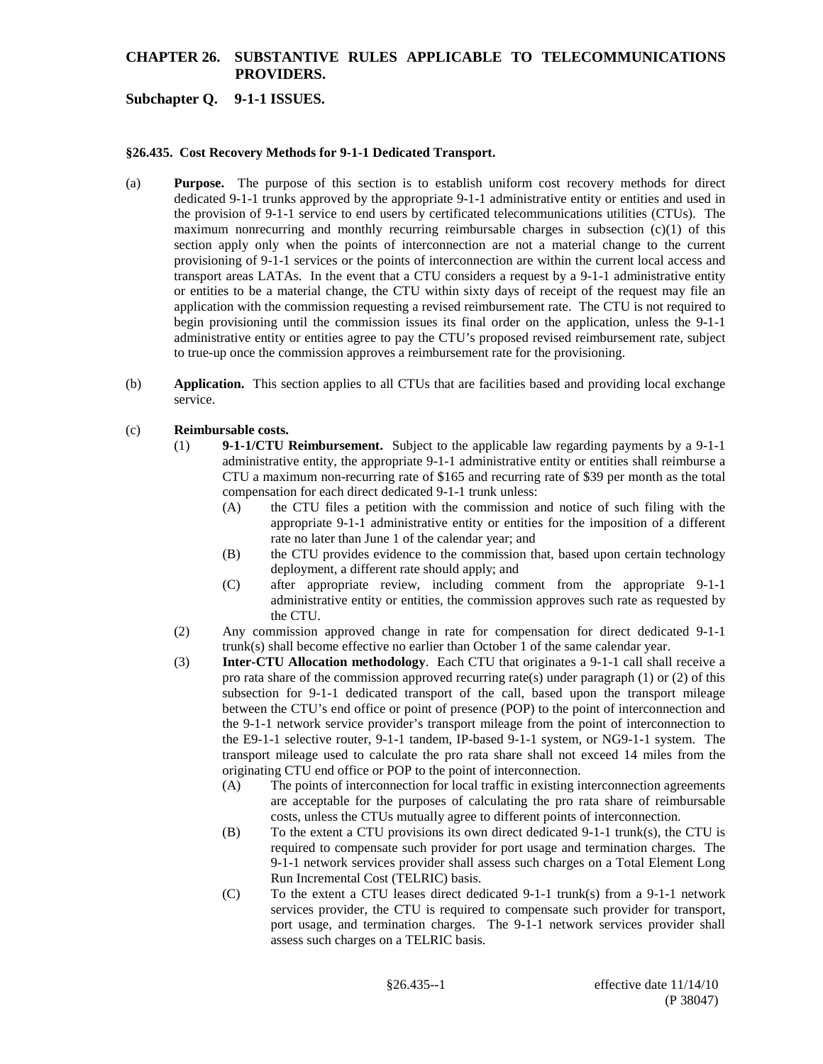# **CHAPTER 26. SUBSTANTIVE RULES APPLICABLE TO TELECOMMUNICATIONS PROVIDERS.**

### **Subchapter Q. 9-1-1 ISSUES.**

#### **§26.435. Cost Recovery Methods for 9-1-1 Dedicated Transport.**

- (a) **Purpose.** The purpose of this section is to establish uniform cost recovery methods for direct dedicated 9-1-1 trunks approved by the appropriate 9-1-1 administrative entity or entities and used in the provision of 9-1-1 service to end users by certificated telecommunications utilities (CTUs). The maximum nonrecurring and monthly recurring reimbursable charges in subsection  $(c)(1)$  of this section apply only when the points of interconnection are not a material change to the current provisioning of 9-1-1 services or the points of interconnection are within the current local access and transport areas LATAs. In the event that a CTU considers a request by a 9-1-1 administrative entity or entities to be a material change, the CTU within sixty days of receipt of the request may file an application with the commission requesting a revised reimbursement rate. The CTU is not required to begin provisioning until the commission issues its final order on the application, unless the 9-1-1 administrative entity or entities agree to pay the CTU's proposed revised reimbursement rate, subject to true-up once the commission approves a reimbursement rate for the provisioning.
- (b) **Application.** This section applies to all CTUs that are facilities based and providing local exchange service.

#### (c) **Reimbursable costs.**

- (1) **9-1-1/CTU Reimbursement.** Subject to the applicable law regarding payments by a 9-1-1 administrative entity, the appropriate 9-1-1 administrative entity or entities shall reimburse a CTU a maximum non-recurring rate of \$165 and recurring rate of \$39 per month as the total compensation for each direct dedicated 9-1-1 trunk unless:
	- (A) the CTU files a petition with the commission and notice of such filing with the appropriate 9-1-1 administrative entity or entities for the imposition of a different rate no later than June 1 of the calendar year; and
	- (B) the CTU provides evidence to the commission that, based upon certain technology deployment, a different rate should apply; and
	- (C) after appropriate review, including comment from the appropriate 9-1-1 administrative entity or entities, the commission approves such rate as requested by the CTU.
- (2) Any commission approved change in rate for compensation for direct dedicated 9-1-1 trunk(s) shall become effective no earlier than October 1 of the same calendar year.
- (3) **Inter-CTU Allocation methodology**. Each CTU that originates a 9-1-1 call shall receive a pro rata share of the commission approved recurring rate(s) under paragraph (1) or (2) of this subsection for 9-1-1 dedicated transport of the call, based upon the transport mileage between the CTU's end office or point of presence (POP) to the point of interconnection and the 9-1-1 network service provider's transport mileage from the point of interconnection to the E9-1-1 selective router, 9-1-1 tandem, IP-based 9-1-1 system, or NG9-1-1 system. The transport mileage used to calculate the pro rata share shall not exceed 14 miles from the originating CTU end office or POP to the point of interconnection.
	- (A) The points of interconnection for local traffic in existing interconnection agreements are acceptable for the purposes of calculating the pro rata share of reimbursable costs, unless the CTUs mutually agree to different points of interconnection.
	- (B) To the extent a CTU provisions its own direct dedicated 9-1-1 trunk(s), the CTU is required to compensate such provider for port usage and termination charges. The 9-1-1 network services provider shall assess such charges on a Total Element Long Run Incremental Cost (TELRIC) basis.
	- (C) To the extent a CTU leases direct dedicated 9-1-1 trunk(s) from a 9-1-1 network services provider, the CTU is required to compensate such provider for transport, port usage, and termination charges. The 9-1-1 network services provider shall assess such charges on a TELRIC basis.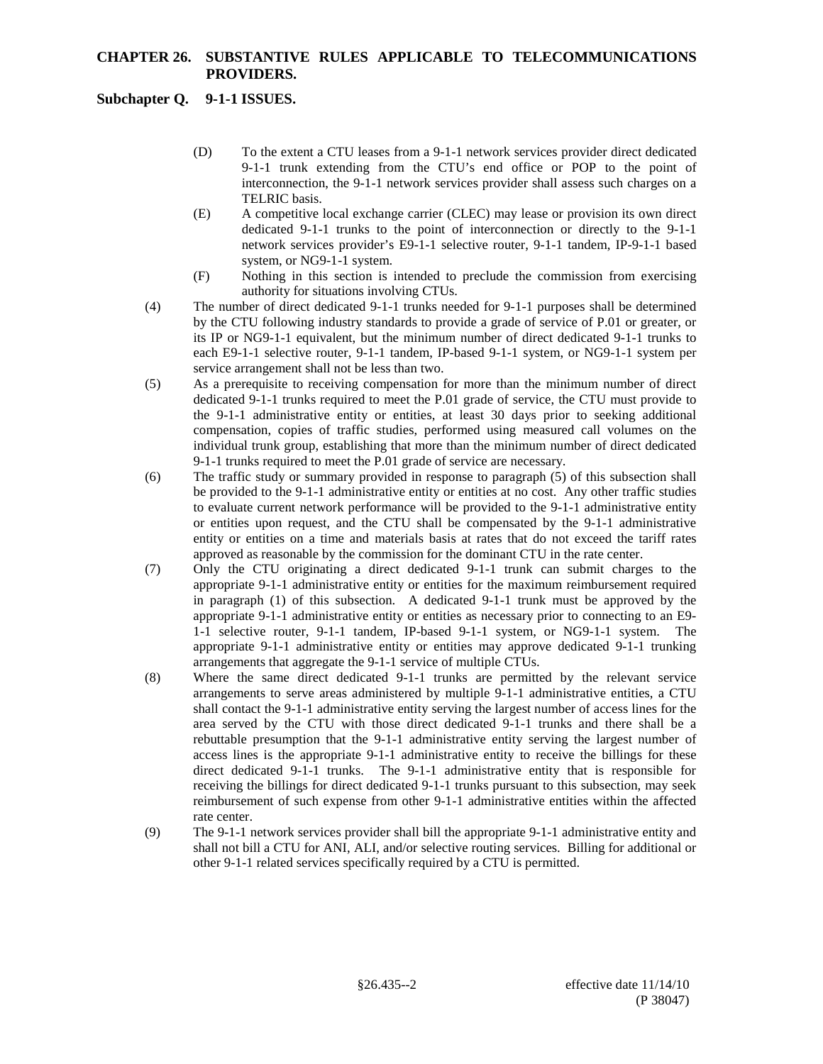# **CHAPTER 26. SUBSTANTIVE RULES APPLICABLE TO TELECOMMUNICATIONS PROVIDERS.**

## **Subchapter Q. 9-1-1 ISSUES.**

- (D) To the extent a CTU leases from a 9-1-1 network services provider direct dedicated 9-1-1 trunk extending from the CTU's end office or POP to the point of interconnection, the 9-1-1 network services provider shall assess such charges on a TELRIC basis.
- (E) A competitive local exchange carrier (CLEC) may lease or provision its own direct dedicated 9-1-1 trunks to the point of interconnection or directly to the 9-1-1 network services provider's E9-1-1 selective router, 9-1-1 tandem, IP-9-1-1 based system, or NG9-1-1 system.
- (F) Nothing in this section is intended to preclude the commission from exercising authority for situations involving CTUs.
- (4) The number of direct dedicated 9-1-1 trunks needed for 9-1-1 purposes shall be determined by the CTU following industry standards to provide a grade of service of P.01 or greater, or its IP or NG9-1-1 equivalent, but the minimum number of direct dedicated 9-1-1 trunks to each E9-1-1 selective router, 9-1-1 tandem, IP-based 9-1-1 system, or NG9-1-1 system per service arrangement shall not be less than two.
- (5) As a prerequisite to receiving compensation for more than the minimum number of direct dedicated 9-1-1 trunks required to meet the P.01 grade of service, the CTU must provide to the 9-1-1 administrative entity or entities, at least 30 days prior to seeking additional compensation, copies of traffic studies, performed using measured call volumes on the individual trunk group, establishing that more than the minimum number of direct dedicated 9-1-1 trunks required to meet the P.01 grade of service are necessary.
- (6) The traffic study or summary provided in response to paragraph (5) of this subsection shall be provided to the 9-1-1 administrative entity or entities at no cost. Any other traffic studies to evaluate current network performance will be provided to the 9-1-1 administrative entity or entities upon request, and the CTU shall be compensated by the 9-1-1 administrative entity or entities on a time and materials basis at rates that do not exceed the tariff rates approved as reasonable by the commission for the dominant CTU in the rate center.
- (7) Only the CTU originating a direct dedicated 9-1-1 trunk can submit charges to the appropriate 9-1-1 administrative entity or entities for the maximum reimbursement required in paragraph (1) of this subsection. A dedicated 9-1-1 trunk must be approved by the appropriate 9-1-1 administrative entity or entities as necessary prior to connecting to an E9- 1-1 selective router, 9-1-1 tandem, IP-based 9-1-1 system, or NG9-1-1 system. The appropriate 9-1-1 administrative entity or entities may approve dedicated 9-1-1 trunking arrangements that aggregate the 9-1-1 service of multiple CTUs.
- (8) Where the same direct dedicated 9-1-1 trunks are permitted by the relevant service arrangements to serve areas administered by multiple 9-1-1 administrative entities, a CTU shall contact the 9-1-1 administrative entity serving the largest number of access lines for the area served by the CTU with those direct dedicated 9-1-1 trunks and there shall be a rebuttable presumption that the 9-1-1 administrative entity serving the largest number of access lines is the appropriate 9-1-1 administrative entity to receive the billings for these direct dedicated 9-1-1 trunks. The 9-1-1 administrative entity that is responsible for receiving the billings for direct dedicated 9-1-1 trunks pursuant to this subsection, may seek reimbursement of such expense from other 9-1-1 administrative entities within the affected rate center.
- (9) The 9-1-1 network services provider shall bill the appropriate 9-1-1 administrative entity and shall not bill a CTU for ANI, ALI, and/or selective routing services. Billing for additional or other 9-1-1 related services specifically required by a CTU is permitted.